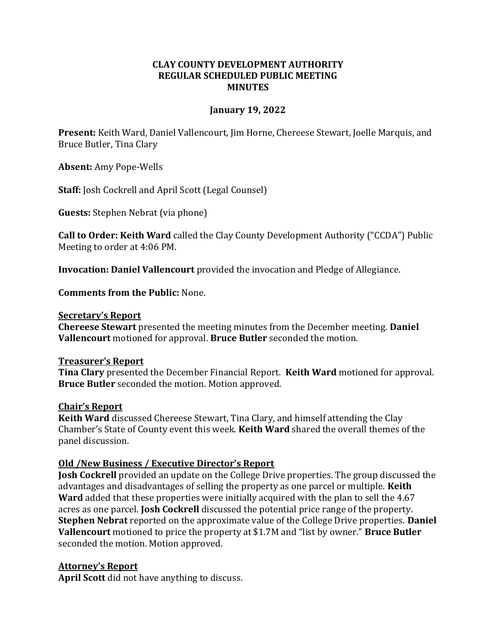# **CLAY COUNTY DEVELOPMENT AUTHORITY REGULAR SCHEDULED PUBLIC MEETING MINUTES**

## **January 19, 2022**

**Present:** Keith Ward, Daniel Vallencourt, Jim Horne, Chereese Stewart, Joelle Marquis, and Bruce Butler, Tina Clary

**Absent:** Amy Pope-Wells

**Staff:** Josh Cockrell and April Scott (Legal Counsel)

**Guests:** Stephen Nebrat (via phone)

**Call to Order: Keith Ward** called the Clay County Development Authority ("CCDA") Public Meeting to order at 4:06 PM.

**Invocation: Daniel Vallencourt** provided the invocation and Pledge of Allegiance.

**Comments from the Public:** None.

#### **Secretary's Report**

**Chereese Stewart** presented the meeting minutes from the December meeting. **Daniel Vallencourt** motioned for approval. **Bruce Butler** seconded the motion.

### **Treasurer's Report**

**Tina Clary** presented the December Financial Report. **Keith Ward** motioned for approval. **Bruce Butler** seconded the motion. Motion approved.

### **Chair's Report**

**Keith Ward** discussed Chereese Stewart, Tina Clary, and himself attending the Clay Chamber's State of County event this week. **Keith Ward** shared the overall themes of the panel discussion.

### **Old /New Business / Executive Director's Report**

**Josh Cockrell** provided an update on the College Drive properties. The group discussed the advantages and disadvantages of selling the property as one parcel or multiple. **Keith Ward** added that these properties were initially acquired with the plan to sell the 4.67 acres as one parcel. **Josh Cockrell** discussed the potential price range of the property. **Stephen Nebrat** reported on the approximate value of the College Drive properties. **Daniel Vallencourt** motioned to price the property at \$1.7M and "list by owner." **Bruce Butler**  seconded the motion. Motion approved.

### **Attorney's Report**

**April Scott** did not have anything to discuss.